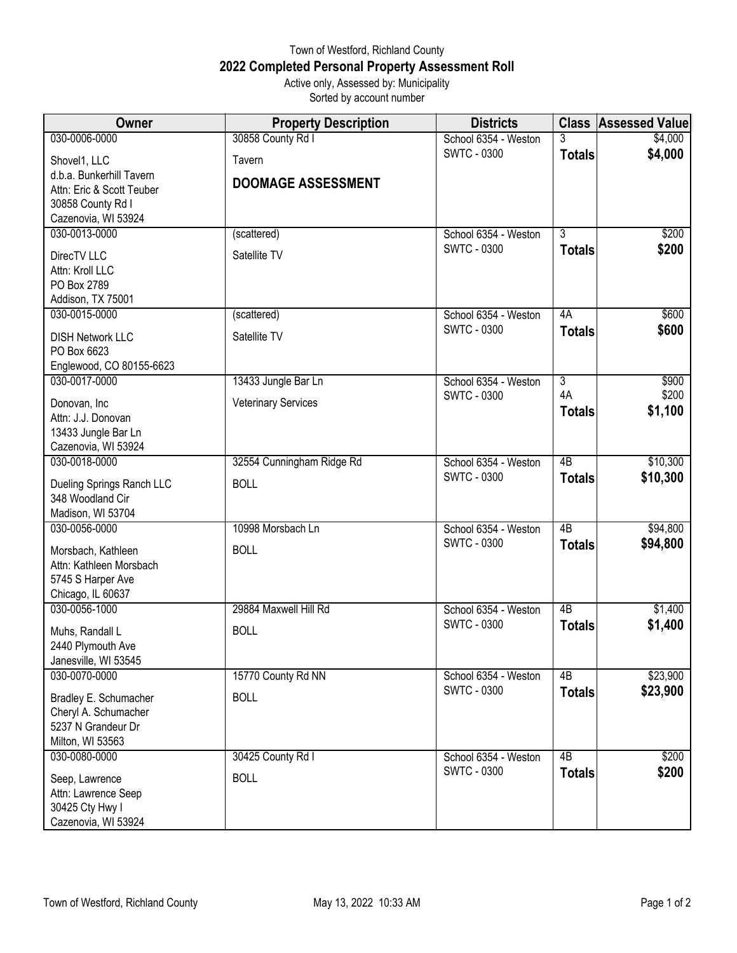## Town of Westford, Richland County **2022 Completed Personal Property Assessment Roll** Active only, Assessed by: Municipality

Sorted by account number

| Owner                                                 | <b>Property Description</b> | <b>Districts</b>                           |                 | <b>Class Assessed Value</b> |
|-------------------------------------------------------|-----------------------------|--------------------------------------------|-----------------|-----------------------------|
| 030-0006-0000                                         | 30858 County Rd I           | School 6354 - Weston                       | 3               | \$4,000                     |
| Shovel1, LLC                                          | Tavern                      | <b>SWTC - 0300</b>                         | <b>Totals</b>   | \$4,000                     |
| d.b.a. Bunkerhill Tavern<br>Attn: Eric & Scott Teuber | <b>DOOMAGE ASSESSMENT</b>   |                                            |                 |                             |
| 30858 County Rd I                                     |                             |                                            |                 |                             |
| Cazenovia, WI 53924                                   |                             |                                            |                 |                             |
| 030-0013-0000                                         | (scattered)                 | School 6354 - Weston                       | $\overline{3}$  | \$200                       |
| DirecTV LLC                                           | Satellite TV                | <b>SWTC - 0300</b>                         | <b>Totals</b>   | \$200                       |
| Attn: Kroll LLC                                       |                             |                                            |                 |                             |
| PO Box 2789                                           |                             |                                            |                 |                             |
| Addison, TX 75001<br>030-0015-0000                    | (scattered)                 | School 6354 - Weston                       | 4A              | \$600                       |
|                                                       |                             | <b>SWTC - 0300</b>                         | <b>Totals</b>   | \$600                       |
| <b>DISH Network LLC</b><br>PO Box 6623                | Satellite TV                |                                            |                 |                             |
| Englewood, CO 80155-6623                              |                             |                                            |                 |                             |
| 030-0017-0000                                         | 13433 Jungle Bar Ln         | School 6354 - Weston                       | $\overline{3}$  | \$900                       |
| Donovan, Inc                                          | <b>Veterinary Services</b>  | <b>SWTC - 0300</b>                         | 4A              | \$200                       |
| Attn: J.J. Donovan                                    |                             |                                            | <b>Totals</b>   | \$1,100                     |
| 13433 Jungle Bar Ln                                   |                             |                                            |                 |                             |
| Cazenovia, WI 53924                                   |                             |                                            |                 |                             |
| 030-0018-0000                                         | 32554 Cunningham Ridge Rd   | School 6354 - Weston                       | $\overline{AB}$ | \$10,300                    |
| Dueling Springs Ranch LLC                             | <b>BOLL</b>                 | <b>SWTC - 0300</b>                         | <b>Totals</b>   | \$10,300                    |
| 348 Woodland Cir                                      |                             |                                            |                 |                             |
| Madison, WI 53704                                     |                             |                                            |                 |                             |
| 030-0056-0000                                         | 10998 Morsbach Ln           | School 6354 - Weston<br><b>SWTC - 0300</b> | 4B              | \$94,800<br>\$94,800        |
| Morsbach, Kathleen                                    | <b>BOLL</b>                 |                                            | <b>Totals</b>   |                             |
| Attn: Kathleen Morsbach<br>5745 S Harper Ave          |                             |                                            |                 |                             |
| Chicago, IL 60637                                     |                             |                                            |                 |                             |
| 030-0056-1000                                         | 29884 Maxwell Hill Rd       | School 6354 - Weston                       | $\overline{AB}$ | \$1,400                     |
| Muhs, Randall L                                       | <b>BOLL</b>                 | <b>SWTC - 0300</b>                         | <b>Totals</b>   | \$1,400                     |
| 2440 Plymouth Ave                                     |                             |                                            |                 |                             |
| Janesville, WI 53545                                  |                             |                                            |                 |                             |
| 030-0070-0000                                         | 15770 County Rd NN          | School 6354 - Weston                       | 4B              | \$23,900                    |
| Bradley E. Schumacher                                 | <b>BOLL</b>                 | <b>SWTC - 0300</b>                         | <b>Totals</b>   | \$23,900                    |
| Cheryl A. Schumacher                                  |                             |                                            |                 |                             |
| 5237 N Grandeur Dr                                    |                             |                                            |                 |                             |
| Milton, WI 53563<br>030-0080-0000                     | 30425 County Rd I           | School 6354 - Weston                       | 4B              | \$200                       |
|                                                       |                             | <b>SWTC - 0300</b>                         | <b>Totals</b>   | \$200                       |
| Seep, Lawrence                                        | <b>BOLL</b>                 |                                            |                 |                             |
| Attn: Lawrence Seep<br>30425 Cty Hwy I                |                             |                                            |                 |                             |
| Cazenovia, WI 53924                                   |                             |                                            |                 |                             |